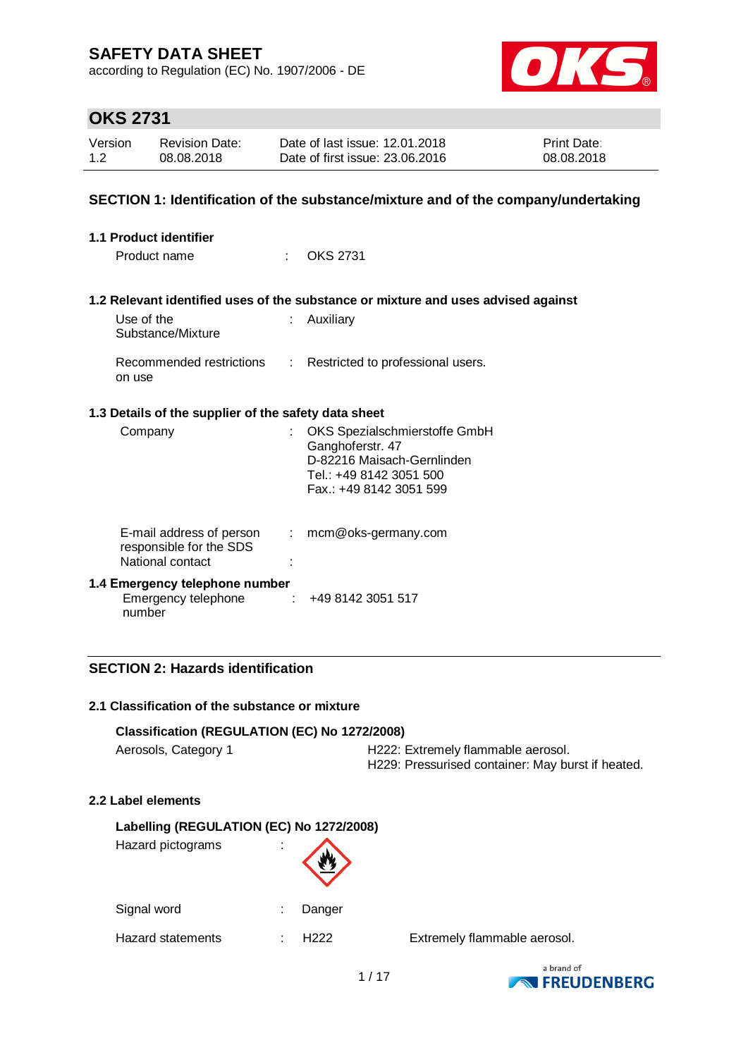according to Regulation (EC) No. 1907/2006 - DE



# **OKS 2731**

| Version | <b>Revision Date:</b> | Date of last issue: 12.01.2018  | <b>Print Date:</b> |
|---------|-----------------------|---------------------------------|--------------------|
| 1.2     | 08.08.2018            | Date of first issue: 23,06,2016 | 08.08.2018         |

### **SECTION 1: Identification of the substance/mixture and of the company/undertaking**

| <b>1.1 Product identifier</b>                                           |                |                                                                                                                                       |
|-------------------------------------------------------------------------|----------------|---------------------------------------------------------------------------------------------------------------------------------------|
| Product name                                                            | t in           | OKS 2731                                                                                                                              |
|                                                                         |                | 1.2 Relevant identified uses of the substance or mixture and uses advised against                                                     |
| Use of the<br>Substance/Mixture                                         |                | Auxiliary                                                                                                                             |
| Recommended restrictions<br>on use                                      |                | : Restricted to professional users.                                                                                                   |
| 1.3 Details of the supplier of the safety data sheet                    |                |                                                                                                                                       |
| Company                                                                 | t.             | OKS Spezialschmierstoffe GmbH<br>Ganghoferstr. 47<br>D-82216 Maisach-Gernlinden<br>Tel.: +49 8142 3051 500<br>Fax.: +49 8142 3051 599 |
| E-mail address of person<br>responsible for the SDS<br>National contact | $\mathbb{R}^n$ | mcm@oks-germany.com                                                                                                                   |
| 1.4 Emergency telephone number<br>Emergency telephone<br>number         |                | $\div$ +49 8142 3051 517                                                                                                              |

### **SECTION 2: Hazards identification**

#### **2.1 Classification of the substance or mixture**

### **Classification (REGULATION (EC) No 1272/2008)**

|  | Aerosols, Category 1 |  |
|--|----------------------|--|
|--|----------------------|--|

H222: Extremely flammable aerosol. H229: Pressurised container: May burst if heated.

#### **2.2 Label elements**

| Labelling (REGULATION (EC) No 1272/2008) |   |                  |
|------------------------------------------|---|------------------|
| Hazard pictograms                        | ï |                  |
| Signal word                              |   | Danger           |
| Hazard statements                        |   | H <sub>222</sub> |

Extremely flammable aerosol.

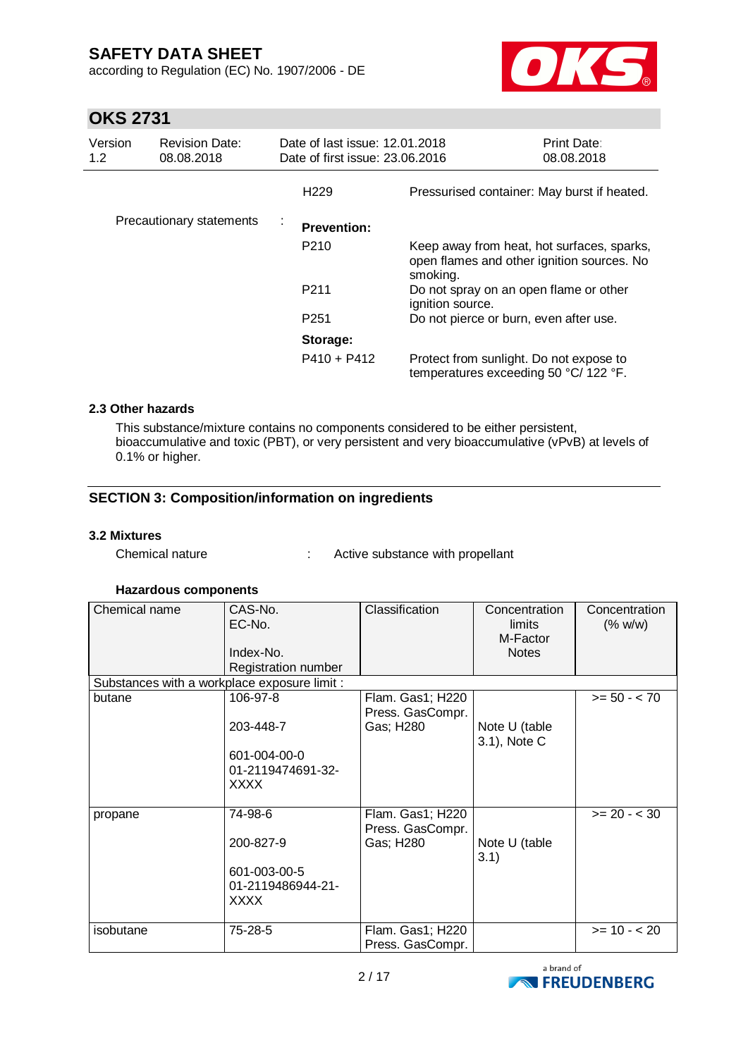according to Regulation (EC) No. 1907/2006 - DE



# **OKS 2731**

| Version<br>1.2 | <b>Revision Date:</b><br>08.08.2018 | Date of last issue: 12.01.2018<br>Date of first issue: 23.06.2016 |                                                                                                      | Print Date:<br>08.08.2018 |
|----------------|-------------------------------------|-------------------------------------------------------------------|------------------------------------------------------------------------------------------------------|---------------------------|
|                |                                     | H <sub>229</sub>                                                  | Pressurised container: May burst if heated.                                                          |                           |
|                | Precautionary statements            | ÷<br><b>Prevention:</b>                                           |                                                                                                      |                           |
|                |                                     | P <sub>210</sub>                                                  | Keep away from heat, hot surfaces, sparks,<br>open flames and other ignition sources. No<br>smoking. |                           |
|                |                                     | P <sub>211</sub>                                                  | Do not spray on an open flame or other<br>ignition source.                                           |                           |
|                |                                     | P <sub>251</sub>                                                  | Do not pierce or burn, even after use.                                                               |                           |
|                |                                     | Storage:                                                          |                                                                                                      |                           |
|                |                                     | $P410 + P412$                                                     | Protect from sunlight. Do not expose to<br>temperatures exceeding 50 °C/ 122 °F.                     |                           |

### **2.3 Other hazards**

This substance/mixture contains no components considered to be either persistent, bioaccumulative and toxic (PBT), or very persistent and very bioaccumulative (vPvB) at levels of 0.1% or higher.

### **SECTION 3: Composition/information on ingredients**

#### **3.2 Mixtures**

Chemical nature : Active substance with propellant

#### **Hazardous components**

| Chemical name                                | CAS-No.             | Classification   | Concentration | Concentration  |
|----------------------------------------------|---------------------|------------------|---------------|----------------|
|                                              | EC-No.              |                  | limits        | (% w/w)        |
|                                              |                     |                  | M-Factor      |                |
|                                              | Index-No.           |                  | <b>Notes</b>  |                |
|                                              | Registration number |                  |               |                |
| Substances with a workplace exposure limit : |                     |                  |               |                |
| butane                                       | 106-97-8            | Flam. Gas1; H220 |               | $>= 50 - < 70$ |
|                                              |                     | Press. GasCompr. |               |                |
|                                              | 203-448-7           | Gas; H280        | Note U (table |                |
|                                              |                     |                  | 3.1), Note C  |                |
|                                              | 601-004-00-0        |                  |               |                |
|                                              | 01-2119474691-32-   |                  |               |                |
|                                              | XXXX                |                  |               |                |
|                                              |                     |                  |               |                |
| propane                                      | 74-98-6             | Flam. Gas1; H220 |               | $>= 20 - < 30$ |
|                                              |                     | Press. GasCompr. |               |                |
|                                              | 200-827-9           | Gas; H280        | Note U (table |                |
|                                              |                     |                  | 3.1)          |                |
|                                              | 601-003-00-5        |                  |               |                |
|                                              | 01-2119486944-21-   |                  |               |                |
|                                              | XXXX                |                  |               |                |
|                                              |                     |                  |               |                |
|                                              |                     |                  |               |                |
| isobutane                                    | 75-28-5             | Flam. Gas1; H220 |               | $>= 10 - 20$   |
|                                              |                     | Press. GasCompr. |               |                |

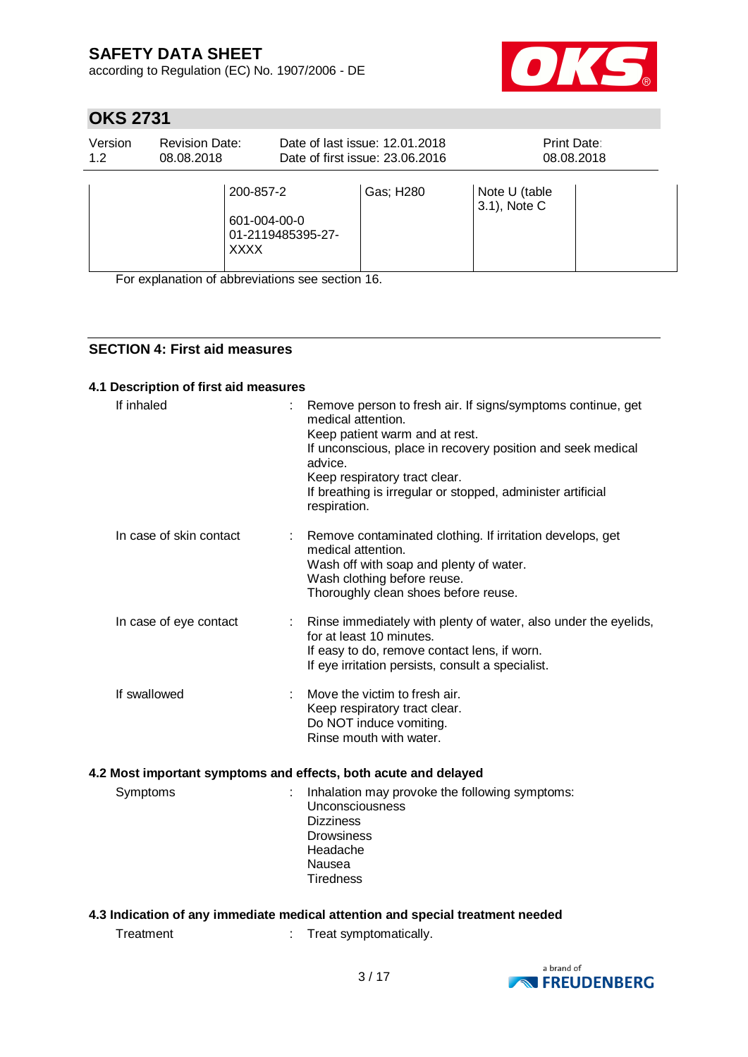according to Regulation (EC) No. 1907/2006 - DE



# **OKS 2731**

| Version<br>1.2 | <b>Revision Date:</b><br>08.08.2018 |                                                               | Date of last issue: 12.01.2018<br>Date of first issue: 23,06,2016 | Print Date:                   | 08.08.2018 |
|----------------|-------------------------------------|---------------------------------------------------------------|-------------------------------------------------------------------|-------------------------------|------------|
|                |                                     | 200-857-2<br>601-004-00-0<br>01-2119485395-27-<br><b>XXXX</b> | Gas; H280                                                         | Note U (table<br>3.1), Note C |            |

For explanation of abbreviations see section 16.

### **SECTION 4: First aid measures**

#### **4.1 Description of first aid measures**

| If inhaled                                                      | Remove person to fresh air. If signs/symptoms continue, get<br>medical attention.<br>Keep patient warm and at rest.<br>If unconscious, place in recovery position and seek medical<br>advice.<br>Keep respiratory tract clear.<br>If breathing is irregular or stopped, administer artificial<br>respiration. |
|-----------------------------------------------------------------|---------------------------------------------------------------------------------------------------------------------------------------------------------------------------------------------------------------------------------------------------------------------------------------------------------------|
| In case of skin contact                                         | Remove contaminated clothing. If irritation develops, get<br>medical attention.<br>Wash off with soap and plenty of water.<br>Wash clothing before reuse.<br>Thoroughly clean shoes before reuse.                                                                                                             |
| In case of eye contact                                          | Rinse immediately with plenty of water, also under the eyelids,<br>for at least 10 minutes.<br>If easy to do, remove contact lens, if worn.<br>If eye irritation persists, consult a specialist.                                                                                                              |
| If swallowed                                                    | Move the victim to fresh air.<br>Keep respiratory tract clear.<br>Do NOT induce vomiting.<br>Rinse mouth with water.                                                                                                                                                                                          |
| 4.2 Most important symptoms and effects, both acute and delayed |                                                                                                                                                                                                                                                                                                               |
| Symptoms                                                        | Inhalation may provoke the following symptoms:<br>Unconsciousness<br><b>Dizziness</b><br><b>Drowsiness</b><br>Headache<br>Nausea<br><b>Tiredness</b>                                                                                                                                                          |

### **4.3 Indication of any immediate medical attention and special treatment needed**

Treatment : Treat symptomatically.

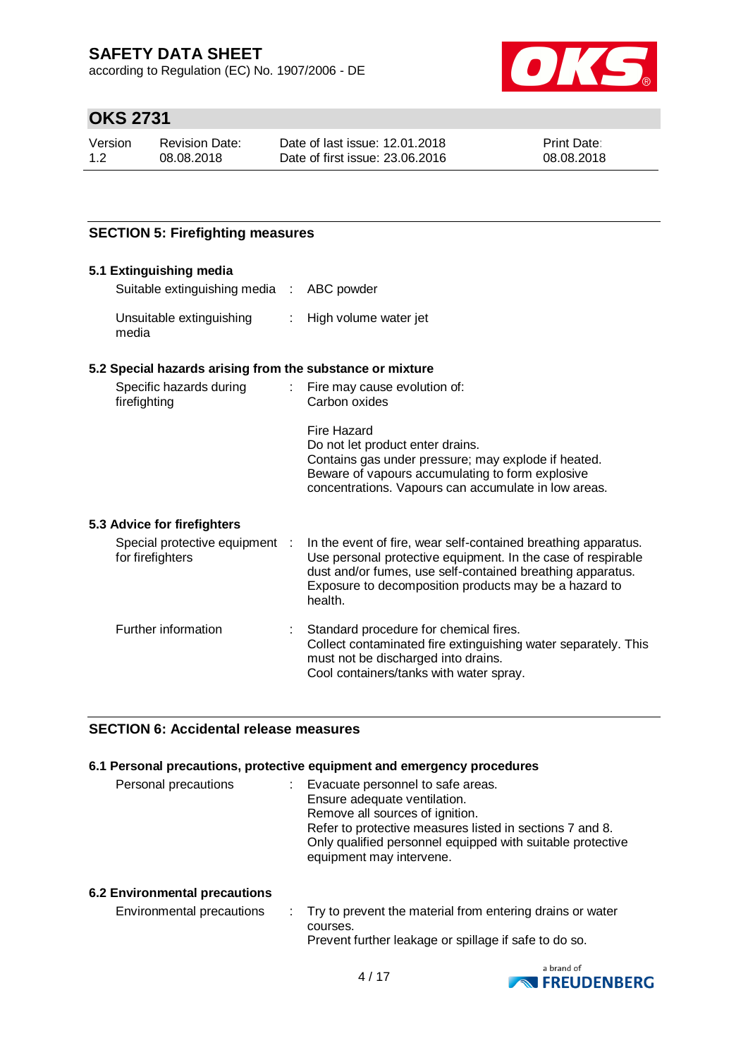according to Regulation (EC) No. 1907/2006 - DE



# **OKS 2731**

| Version | Revision Date: | Date of last issue: 12.01.2018  | <b>Print Date:</b> |
|---------|----------------|---------------------------------|--------------------|
| 1.2     | 08.08.2018     | Date of first issue: 23,06,2016 | 08.08.2018         |

### **SECTION 5: Firefighting measures**

#### **5.1 Extinguishing media**

| Suitable extinguishing media : ABC powder |                         |
|-------------------------------------------|-------------------------|
| Unsuitable extinguishing<br>media         | : High volume water jet |

### **5.2 Special hazards arising from the substance or mixture**

| Specific hazards during<br>firefighting | : Fire may cause evolution of:<br>Carbon oxides                                                                                                                                                                    |
|-----------------------------------------|--------------------------------------------------------------------------------------------------------------------------------------------------------------------------------------------------------------------|
|                                         | Fire Hazard<br>Do not let product enter drains.<br>Contains gas under pressure; may explode if heated.<br>Beware of vapours accumulating to form explosive<br>concentrations. Vapours can accumulate in low areas. |
| 5.3 Advice for firefighters             |                                                                                                                                                                                                                    |

| Special protective equipment :<br>for firefighters | In the event of fire, wear self-contained breathing apparatus.<br>Use personal protective equipment. In the case of respirable<br>dust and/or fumes, use self-contained breathing apparatus.<br>Exposure to decomposition products may be a hazard to<br>health. |
|----------------------------------------------------|------------------------------------------------------------------------------------------------------------------------------------------------------------------------------------------------------------------------------------------------------------------|
| Further information                                | Standard procedure for chemical fires.<br>Collect contaminated fire extinguishing water separately. This<br>must not be discharged into drains.<br>Cool containers/tanks with water spray.                                                                       |

### **SECTION 6: Accidental release measures**

### **6.1 Personal precautions, protective equipment and emergency procedures**

| Personal precautions | Evacuate personnel to safe areas.<br>Ensure adequate ventilation.<br>Remove all sources of ignition.<br>Refer to protective measures listed in sections 7 and 8.<br>Only qualified personnel equipped with suitable protective |
|----------------------|--------------------------------------------------------------------------------------------------------------------------------------------------------------------------------------------------------------------------------|
|                      | equipment may intervene.                                                                                                                                                                                                       |

#### **6.2 Environmental precautions**

| Environmental precautions | : Try to prevent the material from entering drains or water |
|---------------------------|-------------------------------------------------------------|
|                           | courses.                                                    |
|                           | Prevent further leakage or spillage if safe to do so.       |

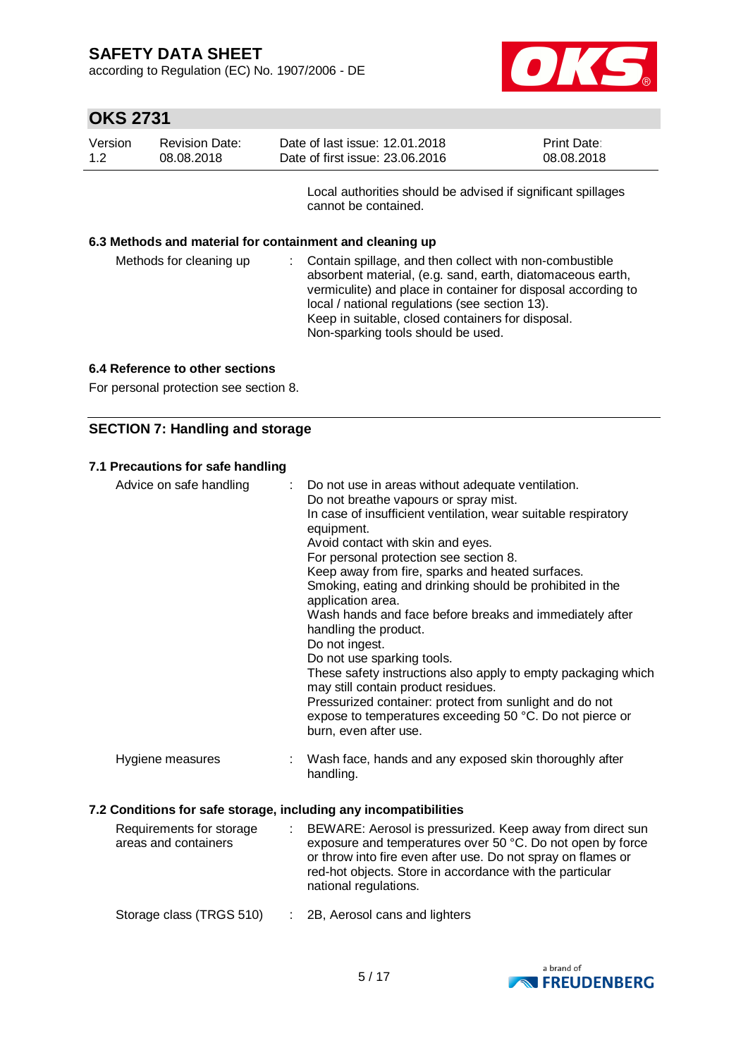according to Regulation (EC) No. 1907/2006 - DE



# **OKS 2731**

| Version<br>1.2          | <b>Revision Date:</b><br>08.08.2018                      | Date of last issue: 12.01.2018<br>Date of first issue: 23.06.2016 |                                                                                                                                                                                                                                                                                               | Print Date:<br>08.08.2018 |
|-------------------------|----------------------------------------------------------|-------------------------------------------------------------------|-----------------------------------------------------------------------------------------------------------------------------------------------------------------------------------------------------------------------------------------------------------------------------------------------|---------------------------|
|                         |                                                          | cannot be contained.                                              | Local authorities should be advised if significant spillages                                                                                                                                                                                                                                  |                           |
|                         | 6.3 Methods and material for containment and cleaning up |                                                                   |                                                                                                                                                                                                                                                                                               |                           |
| Methods for cleaning up |                                                          | ÷.                                                                | Contain spillage, and then collect with non-combustible<br>absorbent material, (e.g. sand, earth, diatomaceous earth,<br>vermiculite) and place in container for disposal according to<br>local / national regulations (see section 13).<br>Keep in suitable, closed containers for disposal. |                           |

Non-sparking tools should be used.

# **6.4 Reference to other sections**

For personal protection see section 8.

# **SECTION 7: Handling and storage**

### **7.1 Precautions for safe handling**

| Advice on safe handling | : Do not use in areas without adequate ventilation.<br>Do not breathe vapours or spray mist.<br>In case of insufficient ventilation, wear suitable respiratory<br>equipment.<br>Avoid contact with skin and eyes.<br>For personal protection see section 8.<br>Keep away from fire, sparks and heated surfaces.<br>Smoking, eating and drinking should be prohibited in the<br>application area.<br>Wash hands and face before breaks and immediately after<br>handling the product.<br>Do not ingest.<br>Do not use sparking tools.<br>These safety instructions also apply to empty packaging which<br>may still contain product residues.<br>Pressurized container: protect from sunlight and do not<br>expose to temperatures exceeding 50 °C. Do not pierce or<br>burn, even after use. |
|-------------------------|----------------------------------------------------------------------------------------------------------------------------------------------------------------------------------------------------------------------------------------------------------------------------------------------------------------------------------------------------------------------------------------------------------------------------------------------------------------------------------------------------------------------------------------------------------------------------------------------------------------------------------------------------------------------------------------------------------------------------------------------------------------------------------------------|
| Hygiene measures        | Wash face, hands and any exposed skin thoroughly after<br>handling.                                                                                                                                                                                                                                                                                                                                                                                                                                                                                                                                                                                                                                                                                                                          |

### **7.2 Conditions for safe storage, including any incompatibilities**

| Requirements for storage<br>areas and containers |  | BEWARE: Aerosol is pressurized. Keep away from direct sun<br>exposure and temperatures over 50 °C. Do not open by force<br>or throw into fire even after use. Do not spray on flames or<br>red-hot objects. Store in accordance with the particular<br>national regulations. |
|--------------------------------------------------|--|------------------------------------------------------------------------------------------------------------------------------------------------------------------------------------------------------------------------------------------------------------------------------|
| Storage class (TRGS 510)                         |  | : 2B, Aerosol cans and lighters                                                                                                                                                                                                                                              |

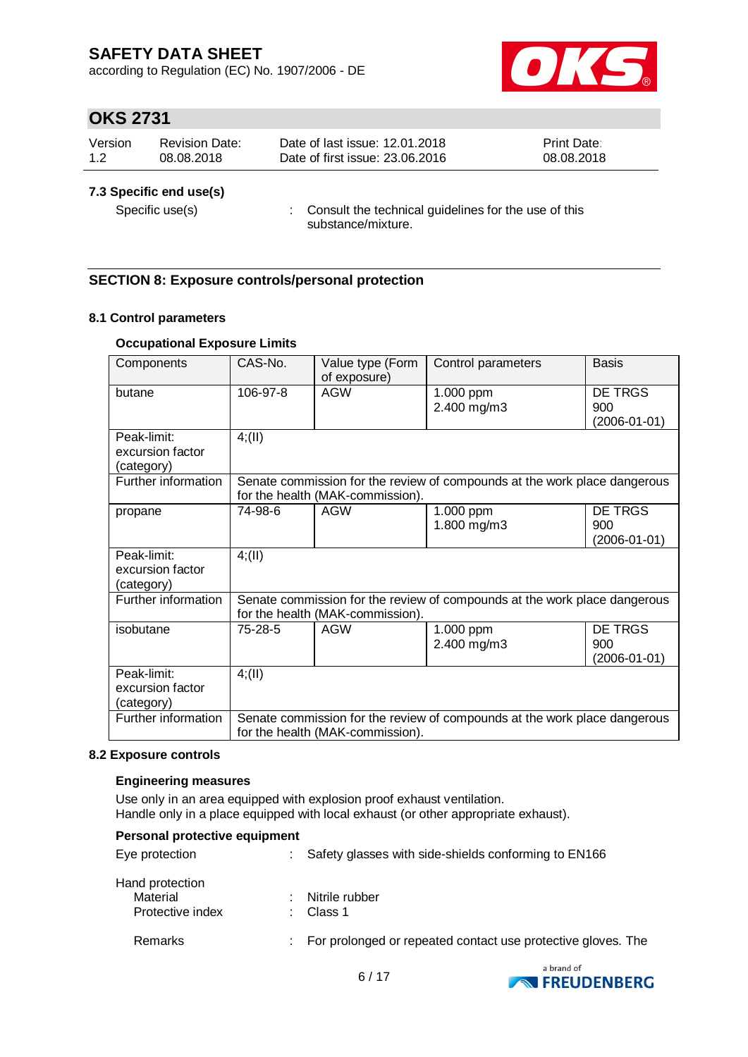according to Regulation (EC) No. 1907/2006 - DE



## **OKS 2731**

| Version | Revision Date: | Date of last issue: 12.01.2018  | <b>Print Date:</b> |
|---------|----------------|---------------------------------|--------------------|
| 1.2     | 08.08.2018     | Date of first issue: 23,06,2016 | 08.08.2018         |

#### **7.3 Specific end use(s)**

Specific use(s) : Consult the technical guidelines for the use of this substance/mixture.

### **SECTION 8: Exposure controls/personal protection**

#### **8.1 Control parameters**

#### **Occupational Exposure Limits**

| Components                                    | CAS-No.                                                                                                       | Value type (Form<br>of exposure) | Control parameters                                                        | <b>Basis</b>                          |  |  |  |
|-----------------------------------------------|---------------------------------------------------------------------------------------------------------------|----------------------------------|---------------------------------------------------------------------------|---------------------------------------|--|--|--|
| butane                                        | 106-97-8                                                                                                      | <b>AGW</b>                       | 1.000 ppm<br>2.400 mg/m3                                                  | <b>DE TRGS</b><br>900<br>(2006-01-01) |  |  |  |
| Peak-limit:<br>excursion factor<br>(category) | 4(11)                                                                                                         |                                  |                                                                           |                                       |  |  |  |
| Further information                           |                                                                                                               | for the health (MAK-commission). | Senate commission for the review of compounds at the work place dangerous |                                       |  |  |  |
| propane                                       | 74-98-6                                                                                                       | <b>AGW</b>                       | 1.000 ppm<br>1.800 mg/m3                                                  | DE TRGS<br>900<br>(2006-01-01)        |  |  |  |
| Peak-limit:<br>excursion factor<br>(category) | 4; (II)                                                                                                       |                                  |                                                                           |                                       |  |  |  |
| Further information                           | Senate commission for the review of compounds at the work place dangerous<br>for the health (MAK-commission). |                                  |                                                                           |                                       |  |  |  |
| isobutane                                     | 75-28-5                                                                                                       | AGW                              | 1.000 ppm<br>2.400 mg/m3                                                  | DE TRGS<br>900<br>(2006-01-01)        |  |  |  |
| Peak-limit:<br>excursion factor<br>(category) | 4(11)                                                                                                         |                                  |                                                                           |                                       |  |  |  |
| Further information                           | Senate commission for the review of compounds at the work place dangerous<br>for the health (MAK-commission). |                                  |                                                                           |                                       |  |  |  |

#### **8.2 Exposure controls**

#### **Engineering measures**

Use only in an area equipped with explosion proof exhaust ventilation. Handle only in a place equipped with local exhaust (or other appropriate exhaust).

#### **Personal protective equipment**

| Eye protection                                  | Safety glasses with side-shields conforming to EN166         |
|-------------------------------------------------|--------------------------------------------------------------|
| Hand protection<br>Material<br>Protective index | Nitrile rubber<br>Class 1                                    |
| Remarks                                         | For prolonged or repeated contact use protective gloves. The |

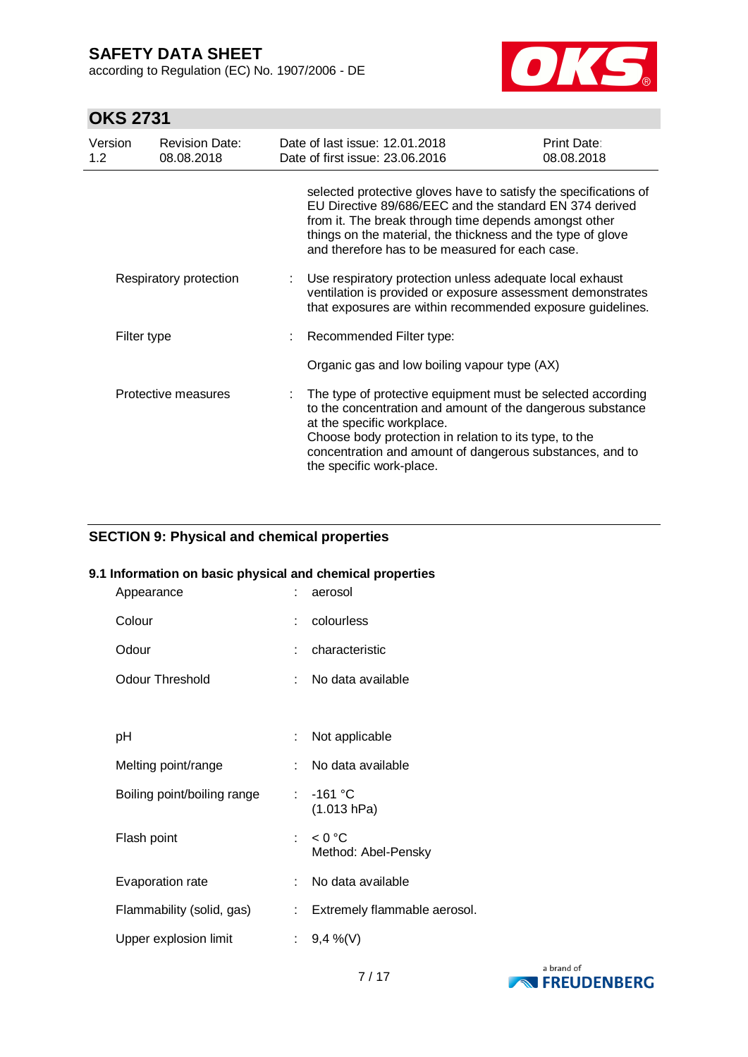according to Regulation (EC) No. 1907/2006 - DE



# **OKS 2731**

| Version<br>1.2 | <b>Revision Date:</b><br>08.08.2018 |  | Date of last issue: 12.01.2018<br>Date of first issue: 23.06.2016                                                                                                                                                                                                                                         | Print Date:<br>08.08.2018 |
|----------------|-------------------------------------|--|-----------------------------------------------------------------------------------------------------------------------------------------------------------------------------------------------------------------------------------------------------------------------------------------------------------|---------------------------|
|                |                                     |  | selected protective gloves have to satisfy the specifications of<br>EU Directive 89/686/EEC and the standard EN 374 derived<br>from it. The break through time depends amongst other<br>things on the material, the thickness and the type of glove<br>and therefore has to be measured for each case.    |                           |
|                | Respiratory protection              |  | : Use respiratory protection unless adequate local exhaust<br>ventilation is provided or exposure assessment demonstrates<br>that exposures are within recommended exposure guidelines.                                                                                                                   |                           |
|                | Filter type                         |  | : Recommended Filter type:                                                                                                                                                                                                                                                                                |                           |
|                |                                     |  | Organic gas and low boiling vapour type (AX)                                                                                                                                                                                                                                                              |                           |
|                | Protective measures                 |  | The type of protective equipment must be selected according<br>to the concentration and amount of the dangerous substance<br>at the specific workplace.<br>Choose body protection in relation to its type, to the<br>concentration and amount of dangerous substances, and to<br>the specific work-place. |                           |

#### **SECTION 9: Physical and chemical properties**

#### **9.1 Information on basic physical and chemical properties**

| Appearance                  |     | aerosol                           |
|-----------------------------|-----|-----------------------------------|
| Colour                      |     | colourless                        |
| Odour                       |     | characteristic                    |
| <b>Odour Threshold</b>      | × 1 | No data available                 |
|                             |     |                                   |
| рH                          | t.  | Not applicable                    |
| Melting point/range         |     | No data available                 |
| Boiling point/boiling range | × 1 | $-161$ °C<br>(1.013 hPa)          |
| Flash point                 |     | : $< 0$ °C<br>Method: Abel-Pensky |
| Evaporation rate            |     | No data available                 |
| Flammability (solid, gas)   | t.  | Extremely flammable aerosol.      |
| Upper explosion limit       |     | : $9,4\%$ (V)                     |

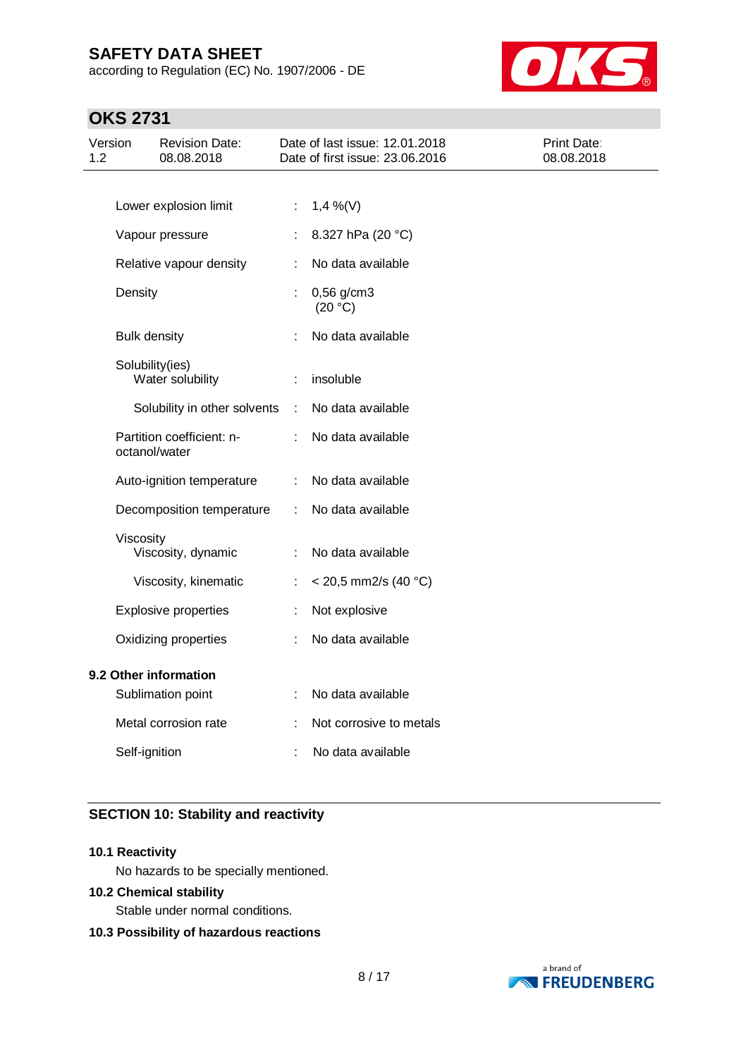according to Regulation (EC) No. 1907/2006 - DE



# **OKS 2731**

| Version<br>1.2 |                     | <b>Revision Date:</b><br>08.08.2018        |    | Date of last issue: 12.01.2018<br>Date of first issue: 23.06.2016 | Print Date:<br>08.08.2018 |
|----------------|---------------------|--------------------------------------------|----|-------------------------------------------------------------------|---------------------------|
|                |                     |                                            |    |                                                                   |                           |
|                |                     | Lower explosion limit                      | ÷. | $1,4\%$ (V)                                                       |                           |
|                |                     | Vapour pressure                            | ÷  | 8.327 hPa (20 °C)                                                 |                           |
|                |                     | Relative vapour density                    | ÷  | No data available                                                 |                           |
|                | Density             |                                            |    | $0,56$ g/cm3<br>(20 °C)                                           |                           |
|                | <b>Bulk density</b> |                                            | ÷  | No data available                                                 |                           |
|                |                     | Solubility(ies)<br>Water solubility        | ÷  | insoluble                                                         |                           |
|                |                     | Solubility in other solvents               | ÷  | No data available                                                 |                           |
|                |                     | Partition coefficient: n-<br>octanol/water |    | No data available                                                 |                           |
|                |                     | Auto-ignition temperature                  | ÷  | No data available                                                 |                           |
|                |                     | Decomposition temperature                  | ÷  | No data available                                                 |                           |
|                | Viscosity           | Viscosity, dynamic                         | ÷  | No data available                                                 |                           |
|                |                     | Viscosity, kinematic                       | ÷  | $<$ 20,5 mm2/s (40 °C)                                            |                           |
|                |                     | <b>Explosive properties</b>                | ÷  | Not explosive                                                     |                           |
|                |                     | Oxidizing properties                       |    | No data available                                                 |                           |
|                |                     | 9.2 Other information<br>Sublimation point | ÷  | No data available                                                 |                           |
|                |                     | Metal corrosion rate                       |    | Not corrosive to metals                                           |                           |
|                | Self-ignition       |                                            |    | No data available                                                 |                           |

### **SECTION 10: Stability and reactivity**

### **10.1 Reactivity**

No hazards to be specially mentioned.

### **10.2 Chemical stability**

Stable under normal conditions.

#### **10.3 Possibility of hazardous reactions**

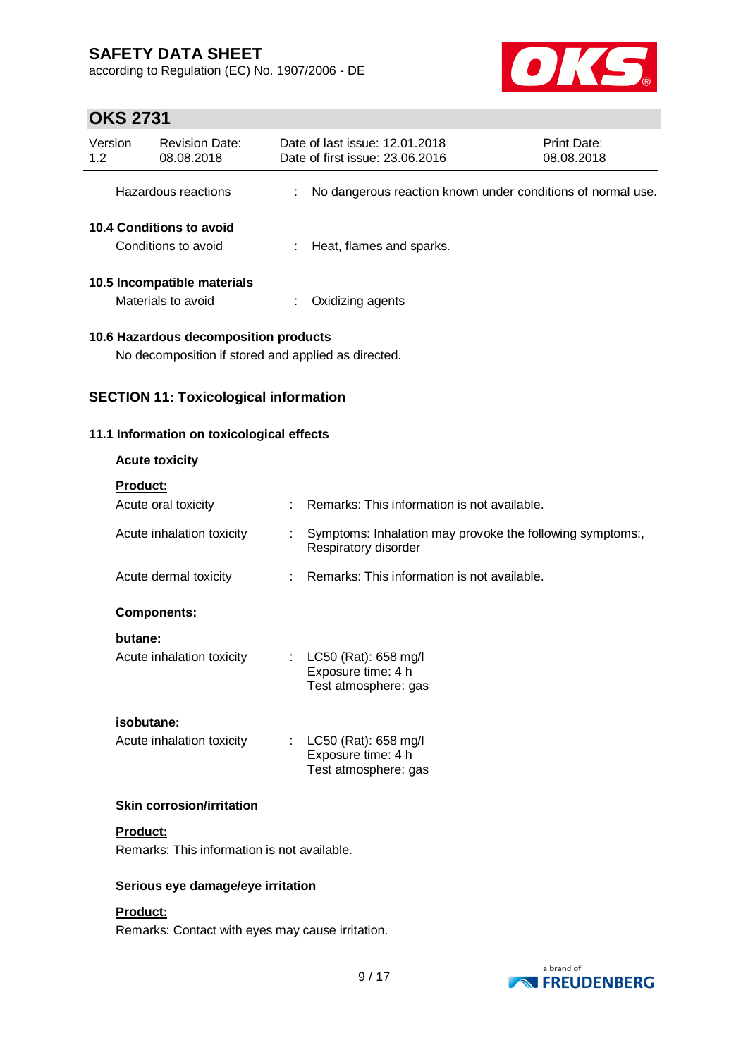according to Regulation (EC) No. 1907/2006 - DE



# **OKS 2731**

| Version<br>1.2 | <b>Revision Date:</b><br>08.08.2018               | Date of last issue: 12.01.2018<br>Date of first issue: 23.06.2016 | Print Date:<br>08.08.2018 |
|----------------|---------------------------------------------------|-------------------------------------------------------------------|---------------------------|
|                | Hazardous reactions                               | No dangerous reaction known under conditions of normal use.       |                           |
|                | 10.4 Conditions to avoid<br>Conditions to avoid   | Heat, flames and sparks.                                          |                           |
|                | 10.5 Incompatible materials<br>Materials to avoid | Oxidizing agents                                                  |                           |
|                |                                                   |                                                                   |                           |

**10.6 Hazardous decomposition products** No decomposition if stored and applied as directed.

**SECTION 11: Toxicological information**

# **11.1 Information on toxicological effects**

| <b>Acute toxicity</b>                       |    |                                                                                   |  |  |
|---------------------------------------------|----|-----------------------------------------------------------------------------------|--|--|
| Product:                                    |    |                                                                                   |  |  |
| Acute oral toxicity                         |    | Remarks: This information is not available.                                       |  |  |
| Acute inhalation toxicity                   | t. | Symptoms: Inhalation may provoke the following symptoms:,<br>Respiratory disorder |  |  |
| Acute dermal toxicity                       |    | Remarks: This information is not available.                                       |  |  |
| <b>Components:</b>                          |    |                                                                                   |  |  |
| butane:                                     |    |                                                                                   |  |  |
| Acute inhalation toxicity                   |    | : LC50 (Rat): 658 mg/l<br>Exposure time: 4 h                                      |  |  |
|                                             |    | Test atmosphere: gas                                                              |  |  |
| isobutane:                                  |    |                                                                                   |  |  |
| Acute inhalation toxicity                   | ÷. | LC50 (Rat): 658 mg/l                                                              |  |  |
|                                             |    | Exposure time: 4 h<br>Test atmosphere: gas                                        |  |  |
|                                             |    |                                                                                   |  |  |
| <b>Skin corrosion/irritation</b>            |    |                                                                                   |  |  |
| <b>Product:</b>                             |    |                                                                                   |  |  |
| Remarks: This information is not available. |    |                                                                                   |  |  |
| Serious eve damageleve irritation           |    |                                                                                   |  |  |

### **Serious eye damage/eye irritation**

### **Product:**

Remarks: Contact with eyes may cause irritation.

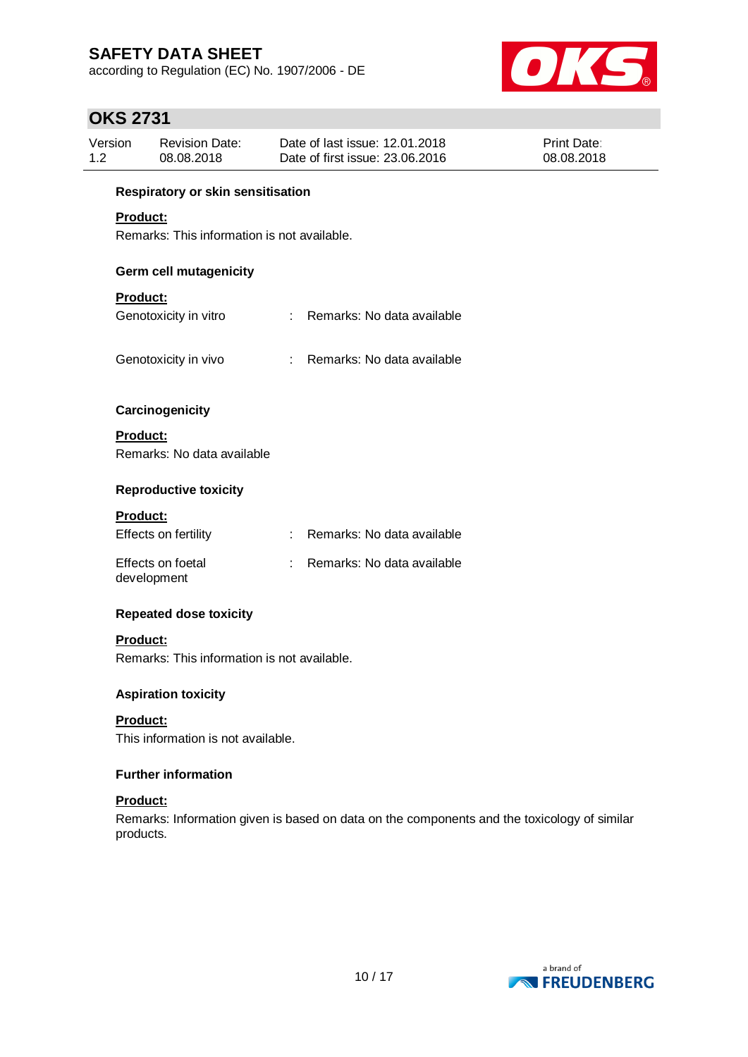according to Regulation (EC) No. 1907/2006 - DE



# **OKS 2731**

| Version | Revision Date: | Date of last issue: 12.01.2018  | <b>Print Date:</b> |
|---------|----------------|---------------------------------|--------------------|
| 1.2     | 08.08.2018     | Date of first issue: 23,06,2016 | 08.08.2018         |

#### **Respiratory or skin sensitisation**

### **Product:**

Remarks: This information is not available.

#### **Germ cell mutagenicity**

### **Product:**

| Genotoxicity in vitro | : Remarks: No data available |
|-----------------------|------------------------------|
|                       |                              |

Genotoxicity in vivo : Remarks: No data available

# **Carcinogenicity**

**Product:** Remarks: No data available

#### **Reproductive toxicity**

#### **Product:**

| Effects on fertility             | Remarks: No data available |
|----------------------------------|----------------------------|
| Effects on foetal<br>development | Remarks: No data available |

#### **Repeated dose toxicity**

#### **Product:**

Remarks: This information is not available.

#### **Aspiration toxicity**

**Product:** This information is not available.

#### **Further information**

#### **Product:**

Remarks: Information given is based on data on the components and the toxicology of similar products.

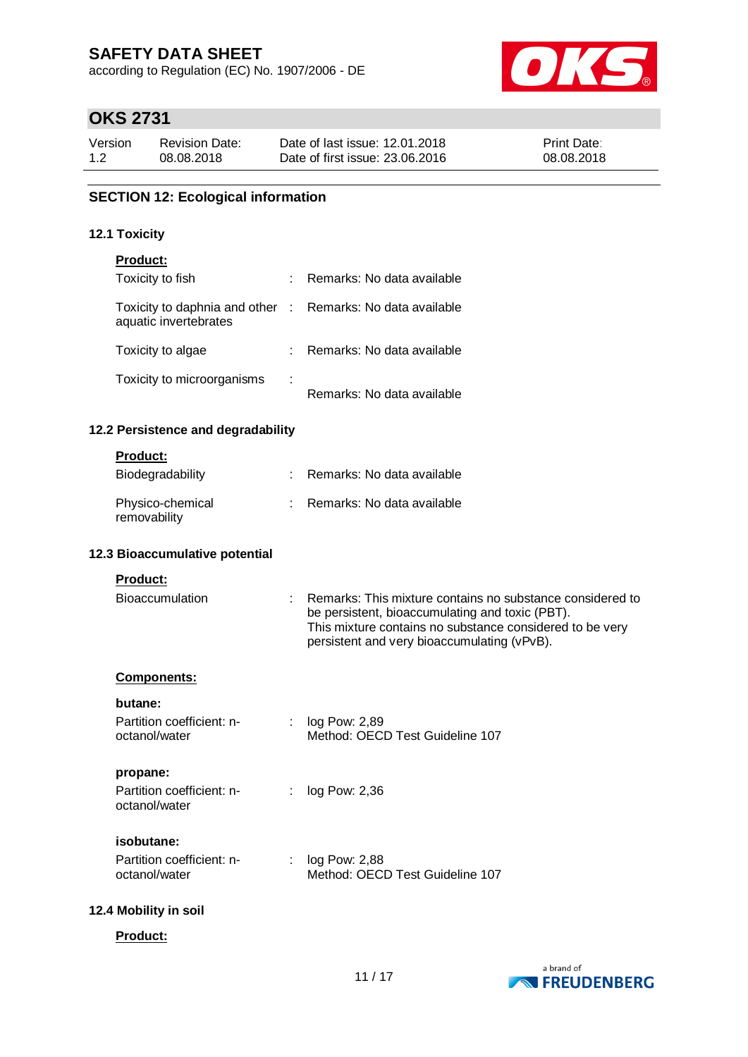according to Regulation (EC) No. 1907/2006 - DE



# **OKS 2731**

| Version | Revision Date: | Date of last issue: 12.01.2018  | <b>Print Date:</b> |
|---------|----------------|---------------------------------|--------------------|
| 1.2     | 08.08.2018     | Date of first issue: 23,06,2016 | 08.08.2018         |

### **SECTION 12: Ecological information**

#### **12.1 Toxicity**

| <b>Product:</b>                                                                     |                            |
|-------------------------------------------------------------------------------------|----------------------------|
| Toxicity to fish                                                                    | Remarks: No data available |
| Toxicity to daphnia and other : Remarks: No data available<br>aquatic invertebrates |                            |
| Toxicity to algae                                                                   | Remarks: No data available |
| Toxicity to microorganisms                                                          | Remarks: No data available |

### **12.2 Persistence and degradability**

#### **Product:**

| Biodegradability                 | Remarks: No data available |
|----------------------------------|----------------------------|
| Physico-chemical<br>removability | Remarks: No data available |

#### **12.3 Bioaccumulative potential**

| <b>Product:</b>        |                                                                                                                                                                                                                         |
|------------------------|-------------------------------------------------------------------------------------------------------------------------------------------------------------------------------------------------------------------------|
| <b>Bioaccumulation</b> | Remarks: This mixture contains no substance considered to<br>be persistent, bioaccumulating and toxic (PBT).<br>This mixture contains no substance considered to be very<br>persistent and very bioaccumulating (vPvB). |

#### **Components:**

#### **butane:**

| Partition coefficient: n- | $:$ log Pow: 2,89               |
|---------------------------|---------------------------------|
| octanol/water             | Method: OECD Test Guideline 107 |
|                           |                                 |

#### **propane:**

| Partition coefficient: n- | : $log Pow: 2,36$ |
|---------------------------|-------------------|
| octanol/water             |                   |

#### **isobutane:**

| Partition coefficient: n- | log Pow: 2,88                   |
|---------------------------|---------------------------------|
| octanol/water             | Method: OECD Test Guideline 107 |

#### **12.4 Mobility in soil**

#### **Product:**

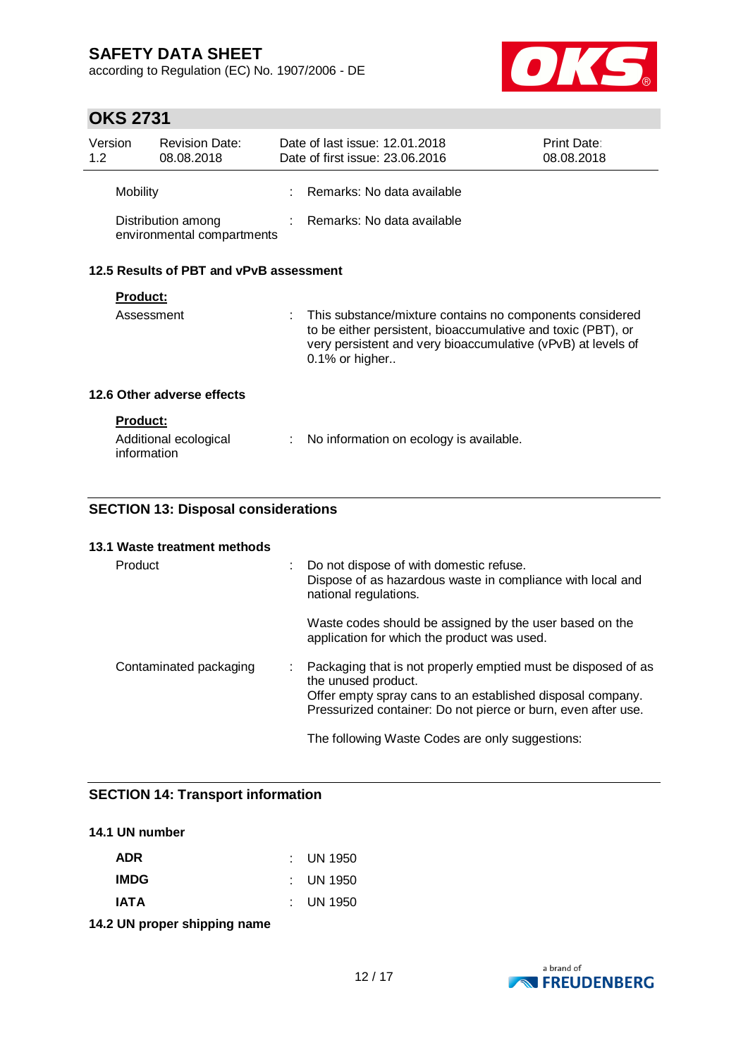according to Regulation (EC) No. 1907/2006 - DE



# **OKS 2731**

| Version<br>1.2  | <b>Revision Date:</b><br>08.08.2018              | Date of last issue: 12.01.2018<br>Date of first issue: 23.06.2016                                                                                                                                               | Print Date:<br>08.08.2018 |
|-----------------|--------------------------------------------------|-----------------------------------------------------------------------------------------------------------------------------------------------------------------------------------------------------------------|---------------------------|
| Mobility        |                                                  | : Remarks: No data available                                                                                                                                                                                    |                           |
|                 | Distribution among<br>environmental compartments | $\therefore$ Remarks: No data available                                                                                                                                                                         |                           |
|                 | 12.5 Results of PBT and vPvB assessment          |                                                                                                                                                                                                                 |                           |
| <b>Product:</b> |                                                  |                                                                                                                                                                                                                 |                           |
|                 | Assessment                                       | : This substance/mixture contains no components considered<br>to be either persistent, bioaccumulative and toxic (PBT), or<br>very persistent and very bioaccumulative (vPvB) at levels of<br>$0.1\%$ or higher |                           |

### **12.6 Other adverse effects**

| <b>Product:</b>                      |                                           |
|--------------------------------------|-------------------------------------------|
| Additional ecological<br>information | : No information on ecology is available. |

### **SECTION 13: Disposal considerations**

#### **13.1 Waste treatment methods**

| Product                | : Do not dispose of with domestic refuse.<br>Dispose of as hazardous waste in compliance with local and<br>national regulations.                                                                                      |
|------------------------|-----------------------------------------------------------------------------------------------------------------------------------------------------------------------------------------------------------------------|
|                        | Waste codes should be assigned by the user based on the<br>application for which the product was used.                                                                                                                |
| Contaminated packaging | : Packaging that is not properly emptied must be disposed of as<br>the unused product.<br>Offer empty spray cans to an established disposal company.<br>Pressurized container: Do not pierce or burn, even after use. |
|                        | The following Waste Codes are only suggestions:                                                                                                                                                                       |

### **SECTION 14: Transport information**

### **14.1 UN number**

| ADR         | $\therefore$ UN 1950 |
|-------------|----------------------|
| <b>IMDG</b> | $\pm$ UN 1950        |
| <b>IATA</b> | $\pm$ UN 1950        |
|             |                      |

**14.2 UN proper shipping name**

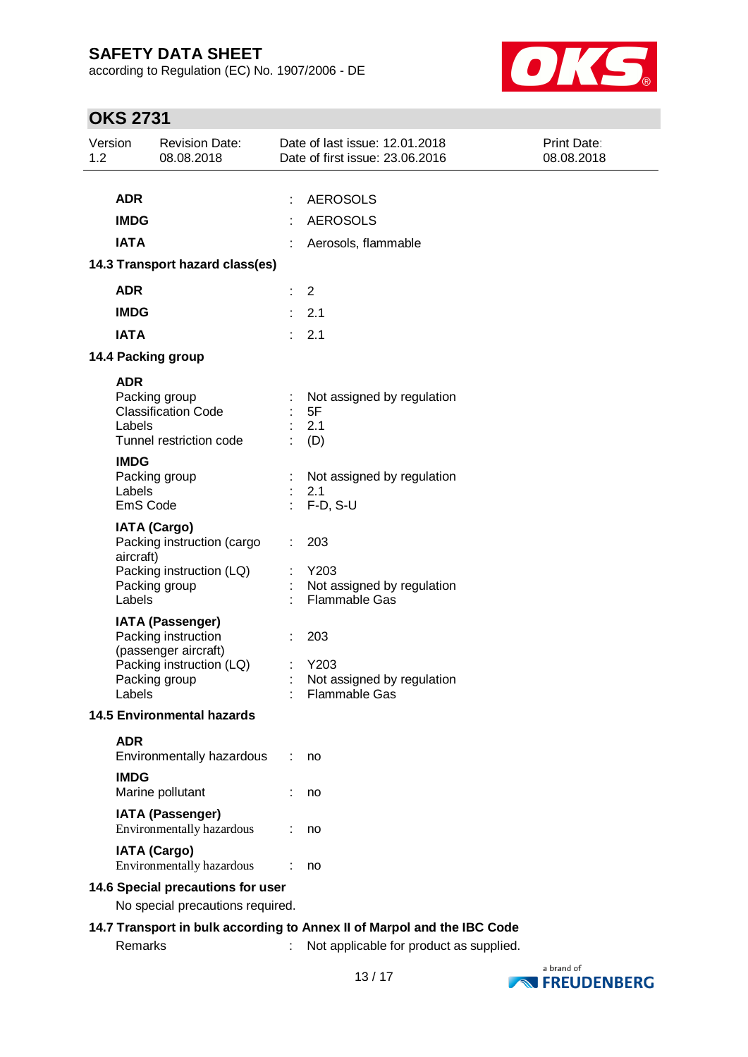according to Regulation (EC) No. 1907/2006 - DE



# **OKS 2731**

| Version<br>1.2 | <b>Revision Date:</b><br>08.08.2018                            | Date of last issue: 12.01.2018<br>Date of first issue: 23.06.2016       | Print Date:<br>08.08.2018 |
|----------------|----------------------------------------------------------------|-------------------------------------------------------------------------|---------------------------|
|                |                                                                |                                                                         |                           |
|                | <b>ADR</b>                                                     | <b>AEROSOLS</b><br>÷                                                    |                           |
|                | <b>IMDG</b>                                                    | <b>AEROSOLS</b>                                                         |                           |
|                | <b>IATA</b>                                                    | Aerosols, flammable                                                     |                           |
|                | 14.3 Transport hazard class(es)                                |                                                                         |                           |
|                | <b>ADR</b>                                                     | $\overline{2}$<br>÷.                                                    |                           |
|                | <b>IMDG</b>                                                    | 2.1                                                                     |                           |
|                | <b>IATA</b>                                                    | 2.1                                                                     |                           |
|                | 14.4 Packing group                                             |                                                                         |                           |
|                | <b>ADR</b>                                                     |                                                                         |                           |
|                | Packing group                                                  | Not assigned by regulation                                              |                           |
|                | <b>Classification Code</b>                                     | 5F                                                                      |                           |
|                | Labels<br>Tunnel restriction code                              | 2.1<br>(D)                                                              |                           |
|                | <b>IMDG</b>                                                    |                                                                         |                           |
|                | Packing group                                                  | Not assigned by regulation                                              |                           |
|                | Labels<br>EmS Code                                             | 2.1<br>$F-D, S-U$                                                       |                           |
|                |                                                                |                                                                         |                           |
|                | <b>IATA (Cargo)</b><br>Packing instruction (cargo<br>aircraft) | 203                                                                     |                           |
|                | Packing instruction (LQ)                                       | Y203                                                                    |                           |
|                | Packing group<br>Labels                                        | Not assigned by regulation<br><b>Flammable Gas</b>                      |                           |
|                | <b>IATA (Passenger)</b>                                        |                                                                         |                           |
|                | Packing instruction                                            | 203                                                                     |                           |
|                | (passenger aircraft)                                           |                                                                         |                           |
|                | Packing instruction (LQ)<br>Packing group                      | Y203<br>Not assigned by regulation                                      |                           |
|                | Labels                                                         | Flammable Gas                                                           |                           |
|                | <b>14.5 Environmental hazards</b>                              |                                                                         |                           |
|                | <b>ADR</b>                                                     |                                                                         |                           |
|                | Environmentally hazardous                                      | no                                                                      |                           |
|                | <b>IMDG</b>                                                    |                                                                         |                           |
|                | Marine pollutant                                               | no                                                                      |                           |
|                | <b>IATA (Passenger)</b><br>Environmentally hazardous           | no                                                                      |                           |
|                | <b>IATA (Cargo)</b><br>Environmentally hazardous               | no                                                                      |                           |
|                | 14.6 Special precautions for user                              |                                                                         |                           |
|                | No special precautions required.                               |                                                                         |                           |
|                |                                                                | 14.7 Transport in bulk according to Annex II of Marpol and the IBC Code |                           |
|                | Remarks                                                        | Not applicable for product as supplied.                                 |                           |

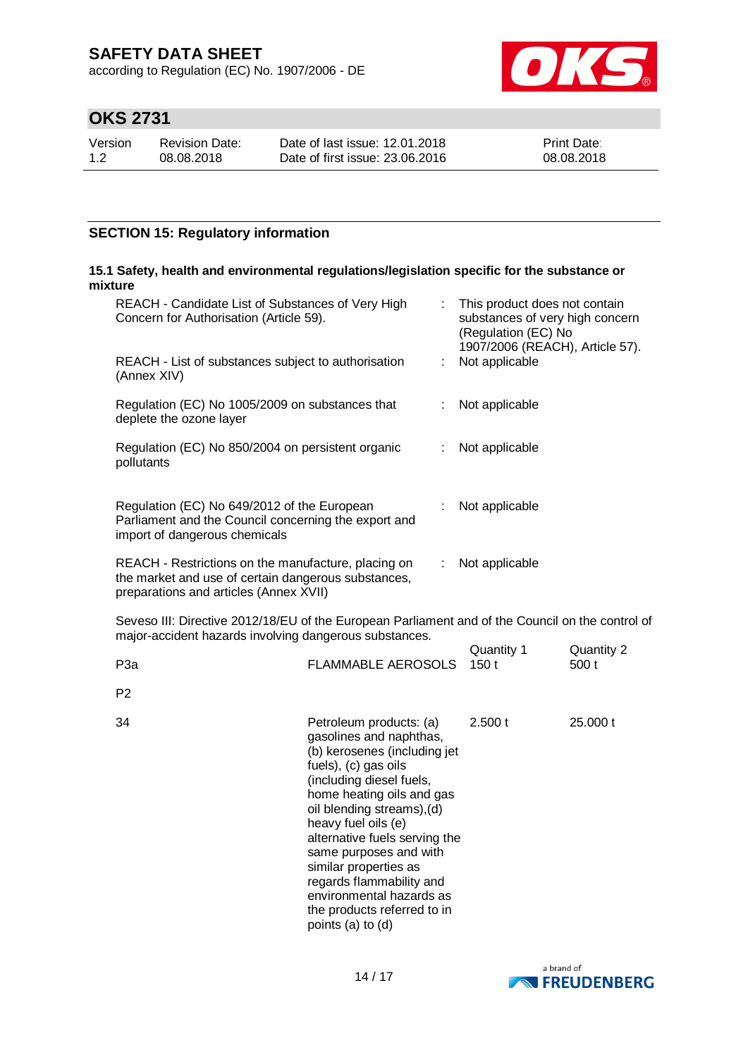according to Regulation (EC) No. 1907/2006 - DE



# **OKS 2731**

| Version | <b>Revision Date:</b> | Date of last issue: 12.01.2018  | <b>Print Date:</b> |
|---------|-----------------------|---------------------------------|--------------------|
| 1.2     | 08.08.2018            | Date of first issue: 23,06,2016 | 08.08.2018         |

### **SECTION 15: Regulatory information**

#### **15.1 Safety, health and environmental regulations/legislation specific for the substance or mixture**

| REACH - Candidate List of Substances of Very High<br>Concern for Authorisation (Article 59).                                                               |                           |    | This product does not contain<br>substances of very high concern<br>(Regulation (EC) No<br>1907/2006 (REACH), Article 57). |                     |
|------------------------------------------------------------------------------------------------------------------------------------------------------------|---------------------------|----|----------------------------------------------------------------------------------------------------------------------------|---------------------|
| REACH - List of substances subject to authorisation<br>(Annex XIV)                                                                                         |                           | ÷. | Not applicable                                                                                                             |                     |
| Regulation (EC) No 1005/2009 on substances that<br>deplete the ozone layer                                                                                 |                           |    | Not applicable                                                                                                             |                     |
| Regulation (EC) No 850/2004 on persistent organic<br>pollutants                                                                                            |                           |    | Not applicable                                                                                                             |                     |
| Regulation (EC) No 649/2012 of the European<br>Parliament and the Council concerning the export and<br>import of dangerous chemicals                       |                           |    | Not applicable                                                                                                             |                     |
| REACH - Restrictions on the manufacture, placing on<br>the market and use of certain dangerous substances,<br>preparations and articles (Annex XVII)       |                           |    | : Not applicable                                                                                                           |                     |
| Seveso III: Directive 2012/18/EU of the European Parliament and of the Council on the control of<br>major-accident hazards involving dangerous substances. |                           |    |                                                                                                                            |                     |
| P <sub>3</sub> a                                                                                                                                           | <b>FLAMMABLE AEROSOLS</b> |    | Quantity 1<br>150t                                                                                                         | Quantity 2<br>500 t |
| P <sub>2</sub>                                                                                                                                             |                           |    |                                                                                                                            |                     |
| ۹۸                                                                                                                                                         | Patrolaum producte: (2)   |    | $2.500 +$                                                                                                                  | 25 UUU +            |

| 34 | Petroleum products: (a)<br>gasolines and naphthas,<br>(b) kerosenes (including jet<br>fuels), (c) gas oils<br>(including diesel fuels,<br>home heating oils and gas<br>oil blending streams), (d)<br>heavy fuel oils (e)<br>alternative fuels serving the<br>same purposes and with<br>similar properties as<br>regards flammability and<br>environmental hazards as<br>the products referred to in<br>points (a) to (d) | 2.500 t | 25,000 t |
|----|--------------------------------------------------------------------------------------------------------------------------------------------------------------------------------------------------------------------------------------------------------------------------------------------------------------------------------------------------------------------------------------------------------------------------|---------|----------|
|----|--------------------------------------------------------------------------------------------------------------------------------------------------------------------------------------------------------------------------------------------------------------------------------------------------------------------------------------------------------------------------------------------------------------------------|---------|----------|

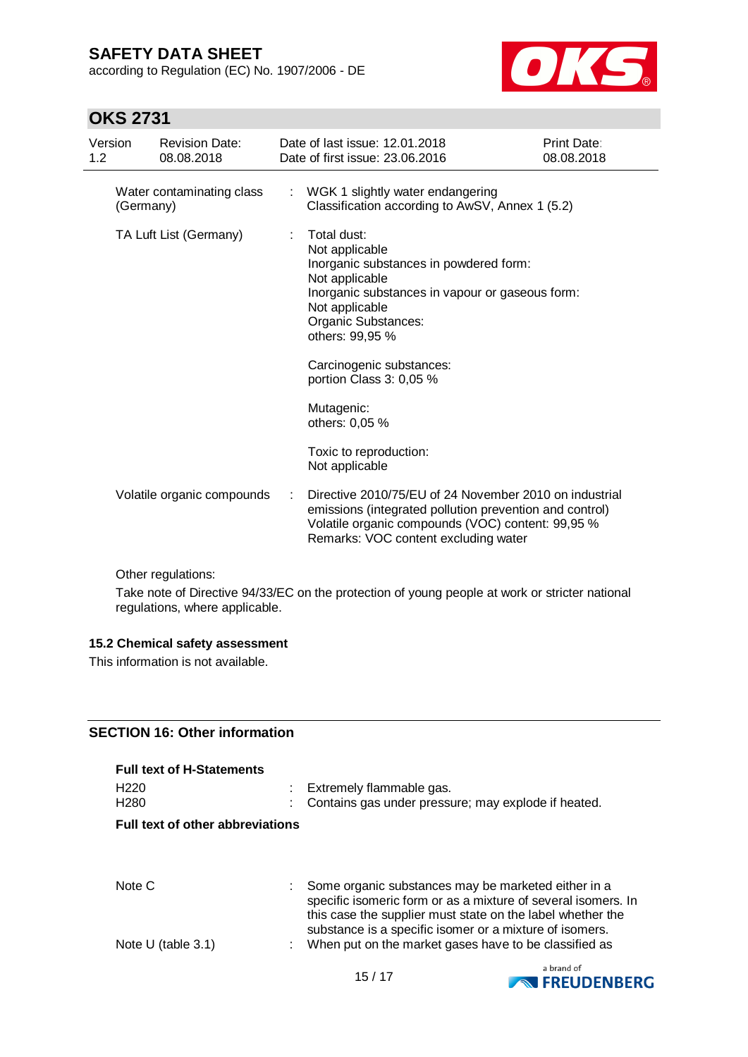according to Regulation (EC) No. 1907/2006 - DE



# **OKS 2731**

| Version<br>1.2 |           | <b>Revision Date:</b><br>08.08.2018 |   | Date of last issue: 12.01.2018<br>Date of first issue: 23.06.2016                                                                                                                                              | <b>Print Date:</b><br>08.08.2018 |
|----------------|-----------|-------------------------------------|---|----------------------------------------------------------------------------------------------------------------------------------------------------------------------------------------------------------------|----------------------------------|
|                | (Germany) | Water contaminating class           |   | : WGK 1 slightly water endangering<br>Classification according to AwSV, Annex 1 (5.2)                                                                                                                          |                                  |
|                |           | TA Luft List (Germany)              | ÷ | Total dust:<br>Not applicable<br>Inorganic substances in powdered form:<br>Not applicable<br>Inorganic substances in vapour or gaseous form:<br>Not applicable<br>Organic Substances:<br>others: 99,95 %       |                                  |
|                |           |                                     |   | Carcinogenic substances:<br>portion Class 3: 0,05 %                                                                                                                                                            |                                  |
|                |           |                                     |   | Mutagenic:<br>others: 0,05 %                                                                                                                                                                                   |                                  |
|                |           |                                     |   | Toxic to reproduction:<br>Not applicable                                                                                                                                                                       |                                  |
|                |           | Volatile organic compounds          |   | Directive 2010/75/EU of 24 November 2010 on industrial<br>emissions (integrated pollution prevention and control)<br>Volatile organic compounds (VOC) content: 99,95 %<br>Remarks: VOC content excluding water |                                  |

Other regulations:

Take note of Directive 94/33/EC on the protection of young people at work or stricter national regulations, where applicable.

### **15.2 Chemical safety assessment**

This information is not available.

### **SECTION 16: Other information**

| <b>Full text of H-Statements</b>        |                                                                                                                                                                                                                                                 |
|-----------------------------------------|-------------------------------------------------------------------------------------------------------------------------------------------------------------------------------------------------------------------------------------------------|
| H <sub>220</sub><br>H <sub>280</sub>    | : Extremely flammable gas.<br>Contains gas under pressure; may explode if heated.                                                                                                                                                               |
| <b>Full text of other abbreviations</b> |                                                                                                                                                                                                                                                 |
|                                         |                                                                                                                                                                                                                                                 |
| Note C                                  | : Some organic substances may be marketed either in a<br>specific isomeric form or as a mixture of several isomers. In<br>this case the supplier must state on the label whether the<br>substance is a specific isomer or a mixture of isomers. |
| Note U (table $3.1$ )                   | When put on the market gases have to be classified as<br>t.                                                                                                                                                                                     |

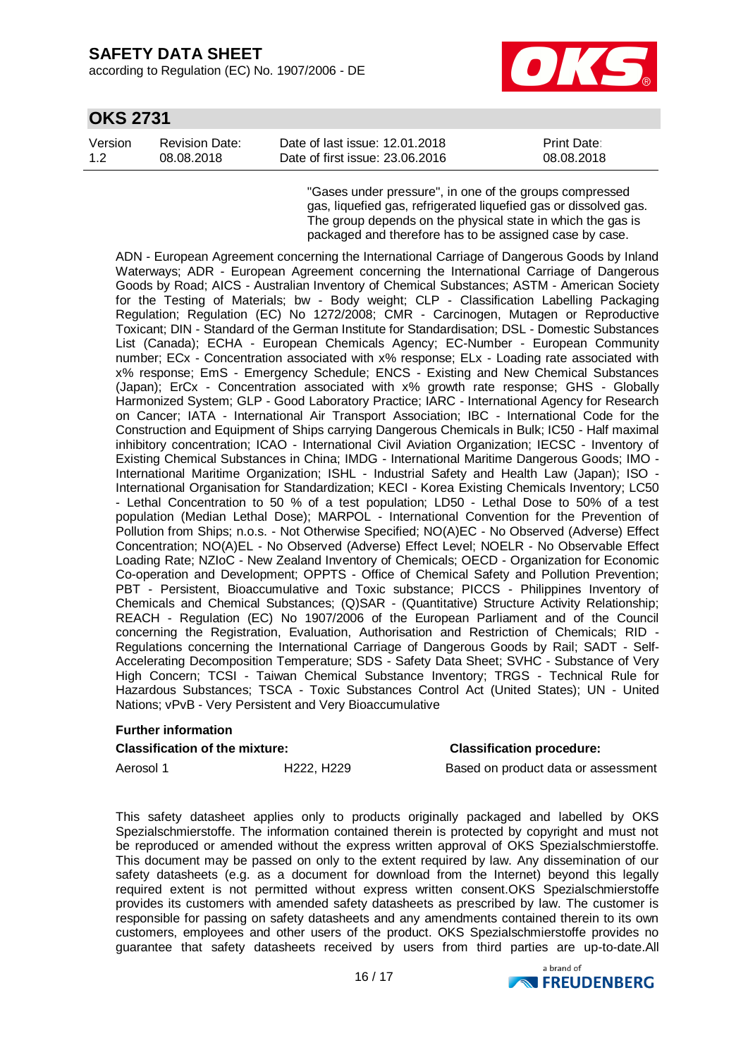according to Regulation (EC) No. 1907/2006 - DE



### **OKS 2731**

| Version | <b>Revision Date:</b> | Date of last issue: 12.01.2018  | <b>Print Date:</b> |
|---------|-----------------------|---------------------------------|--------------------|
| 1.2     | 08.08.2018            | Date of first issue: 23,06,2016 | 08.08.2018         |

"Gases under pressure", in one of the groups compressed gas, liquefied gas, refrigerated liquefied gas or dissolved gas. The group depends on the physical state in which the gas is packaged and therefore has to be assigned case by case.

ADN - European Agreement concerning the International Carriage of Dangerous Goods by Inland Waterways; ADR - European Agreement concerning the International Carriage of Dangerous Goods by Road; AICS - Australian Inventory of Chemical Substances; ASTM - American Society for the Testing of Materials; bw - Body weight; CLP - Classification Labelling Packaging Regulation; Regulation (EC) No 1272/2008; CMR - Carcinogen, Mutagen or Reproductive Toxicant; DIN - Standard of the German Institute for Standardisation; DSL - Domestic Substances List (Canada); ECHA - European Chemicals Agency; EC-Number - European Community number; ECx - Concentration associated with x% response; ELx - Loading rate associated with x% response; EmS - Emergency Schedule; ENCS - Existing and New Chemical Substances (Japan); ErCx - Concentration associated with x% growth rate response; GHS - Globally Harmonized System; GLP - Good Laboratory Practice; IARC - International Agency for Research on Cancer; IATA - International Air Transport Association; IBC - International Code for the Construction and Equipment of Ships carrying Dangerous Chemicals in Bulk; IC50 - Half maximal inhibitory concentration; ICAO - International Civil Aviation Organization; IECSC - Inventory of Existing Chemical Substances in China; IMDG - International Maritime Dangerous Goods; IMO - International Maritime Organization; ISHL - Industrial Safety and Health Law (Japan); ISO - International Organisation for Standardization; KECI - Korea Existing Chemicals Inventory; LC50 - Lethal Concentration to 50 % of a test population; LD50 - Lethal Dose to 50% of a test population (Median Lethal Dose); MARPOL - International Convention for the Prevention of Pollution from Ships; n.o.s. - Not Otherwise Specified; NO(A)EC - No Observed (Adverse) Effect Concentration; NO(A)EL - No Observed (Adverse) Effect Level; NOELR - No Observable Effect Loading Rate; NZIoC - New Zealand Inventory of Chemicals; OECD - Organization for Economic Co-operation and Development; OPPTS - Office of Chemical Safety and Pollution Prevention; PBT - Persistent, Bioaccumulative and Toxic substance; PICCS - Philippines Inventory of Chemicals and Chemical Substances; (Q)SAR - (Quantitative) Structure Activity Relationship; REACH - Regulation (EC) No 1907/2006 of the European Parliament and of the Council concerning the Registration, Evaluation, Authorisation and Restriction of Chemicals; RID - Regulations concerning the International Carriage of Dangerous Goods by Rail; SADT - Self-Accelerating Decomposition Temperature; SDS - Safety Data Sheet; SVHC - Substance of Very High Concern; TCSI - Taiwan Chemical Substance Inventory; TRGS - Technical Rule for Hazardous Substances; TSCA - Toxic Substances Control Act (United States); UN - United Nations; vPvB - Very Persistent and Very Bioaccumulative

#### **Further information**

#### **Classification of the mixture: Classification procedure:**

Aerosol 1 **H222, H229** Based on product data or assessment

This safety datasheet applies only to products originally packaged and labelled by OKS Spezialschmierstoffe. The information contained therein is protected by copyright and must not be reproduced or amended without the express written approval of OKS Spezialschmierstoffe. This document may be passed on only to the extent required by law. Any dissemination of our safety datasheets (e.g. as a document for download from the Internet) beyond this legally required extent is not permitted without express written consent.OKS Spezialschmierstoffe provides its customers with amended safety datasheets as prescribed by law. The customer is responsible for passing on safety datasheets and any amendments contained therein to its own customers, employees and other users of the product. OKS Spezialschmierstoffe provides no guarantee that safety datasheets received by users from third parties are up-to-date.All